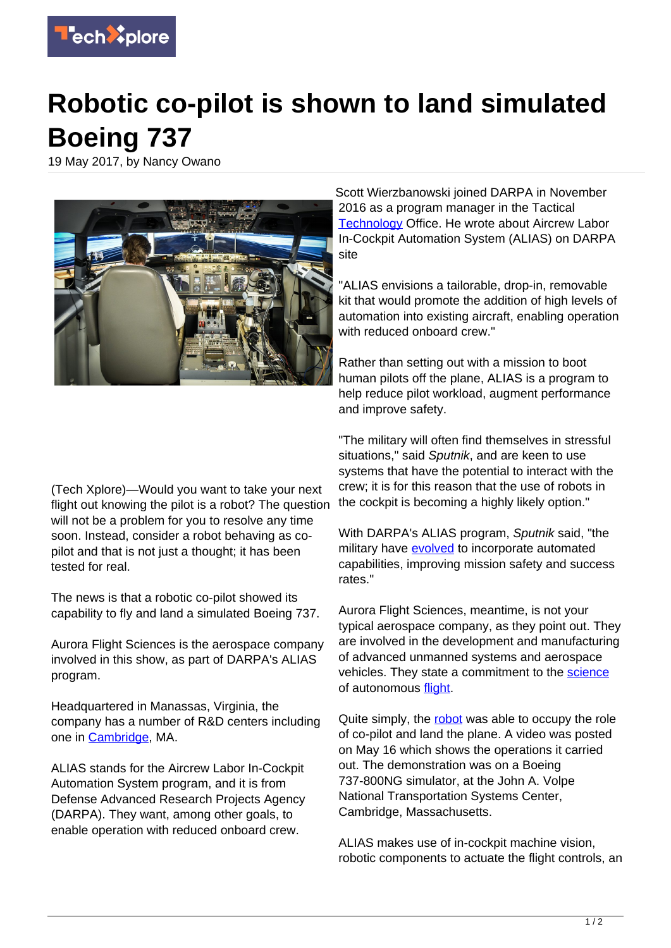

## **Robotic co-pilot is shown to land simulated Boeing 737**

19 May 2017, by Nancy Owano



Scott Wierzbanowski joined DARPA in November 2016 as a program manager in the Tactical [Technology](http://www.darpa.mil/program/aircrew-labor-in-cockpit-automation-system) Office. He wrote about Aircrew Labor In-Cockpit Automation System (ALIAS) on DARPA site

"ALIAS envisions a tailorable, drop-in, removable kit that would promote the addition of high levels of automation into existing aircraft, enabling operation with reduced onboard crew."

Rather than setting out with a mission to boot human pilots off the plane, ALIAS is a program to help reduce pilot workload, augment performance and improve safety.

(Tech Xplore)—Would you want to take your next flight out knowing the pilot is a robot? The question will not be a problem for you to resolve any time soon. Instead, consider a robot behaving as copilot and that is not just a thought; it has been tested for real.

The news is that a robotic co-pilot showed its capability to fly and land a simulated Boeing 737.

Aurora Flight Sciences is the aerospace company involved in this show, as part of DARPA's ALIAS program.

Headquartered in Manassas, Virginia, the company has a number of R&D centers including one in [Cambridge](http://www.aurora.aero/who_we_are/), MA.

ALIAS stands for the Aircrew Labor In-Cockpit Automation System program, and it is from Defense Advanced Research Projects Agency (DARPA). They want, among other goals, to enable operation with reduced onboard crew.

"The military will often find themselves in stressful situations," said Sputnik, and are keen to use systems that have the potential to interact with the crew; it is for this reason that the use of robots in the cockpit is becoming a highly likely option."

With DARPA's ALIAS program, Sputnik said, "the military have [evolved](https://sputniknews.com/science/201705171053698661-boeing-737-robot-landing/) to incorporate automated capabilities, improving mission safety and success rates."

Aurora Flight Sciences, meantime, is not your typical aerospace company, as they point out. They are involved in the development and manufacturing of advanced unmanned systems and aerospace vehicles. They state a commitment to the [science](http://www.aurora.aero/who_we_are/) of autonomous [flight.](https://techxplore.com/tags/flight/)

Quite simply, the [robot](https://techxplore.com/tags/robot/) was able to occupy the role of co-pilot and land the plane. A video was posted on May 16 which shows the operations it carried out. The demonstration was on a Boeing 737-800NG simulator, at the John A. Volpe National Transportation Systems Center, Cambridge, Massachusetts.

ALIAS makes use of in-cockpit machine vision, robotic components to actuate the flight controls, an